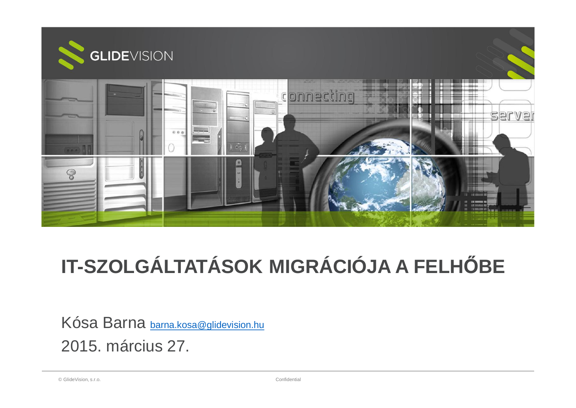

# **IT-SZOLGÁLTATÁSOK MIGRÁCIÓJA A FELHėBE**

Kósa Barna barna.kosa@glidevision.hu 2015. március 27.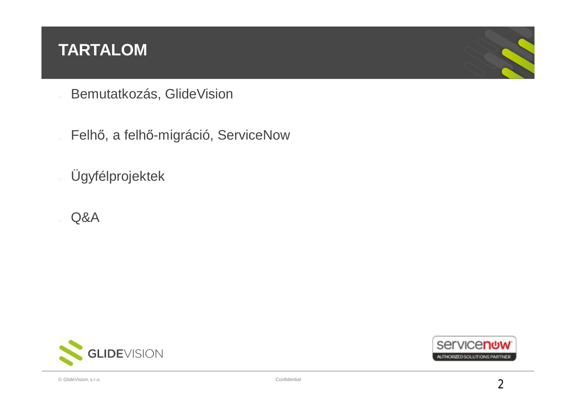#### **TARTALOM**

- Bemutatkozás, GlideVision
- Felhő, a felhő-migráció, ServiceNow
- Ügyfélprojektek
- Q&A



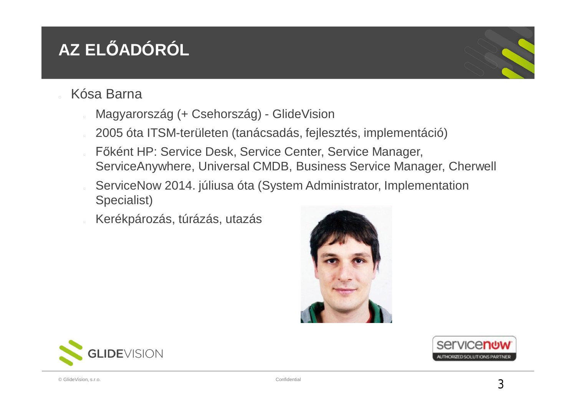## **AZ ELėADÓRÓL**

- Kósa Barna
	- Magyarország (+ Csehország) GlideVision
	- 2005 óta ITSM-területen (tanácsadás, fejlesztés, implementáció)
	- Főként HP: Service Desk, Service Center, Service Manager, ServiceAnywhere, Universal CMDB, Business Service Manager, Cherwell
	- ServiceNow 2014. júliusa óta (System Administrator, Implementation Specialist)
	- Kerékpározás, túrázás, utazás





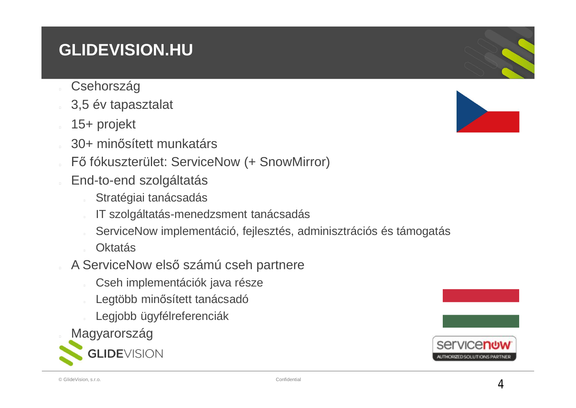## **GLIDEVISION.HU**

- **Csehország**
- 3,5 év tapasztalat
- 15+ projekt
- 30+ minősített munkatárs
- Fő fókuszterület: ServiceNow (+ SnowMirror)
- End-to-end szolgáltatás
	- Stratégiai tanácsadás
	- IT szolgáltatás-menedzsment tanácsadás
	- ServiceNow implementáció, fejlesztés, adminisztrációs és támogatás
	- **Oktatás**
- A ServiceNow első számú cseh partnere
	- Cseh implementációk java része
	- Legtöbb minősített tanácsadó
	- Legjobb ügyfélreferenciák
- Magyarország





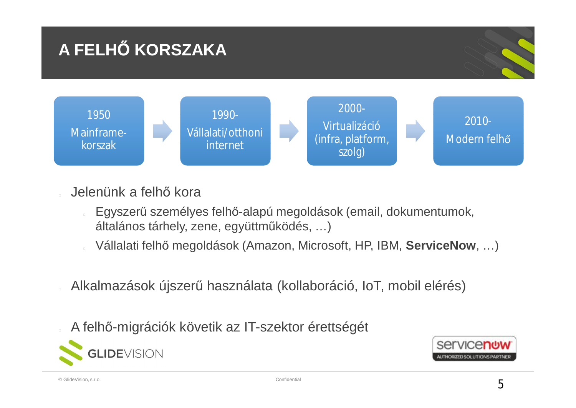

- Jelenünk a felhő kora
	- Egyszerű személyes felhő-alapú megoldások (email, dokumentumok, általános tárhely, zene, együttműködés, ...)
	- Vállalati felhő megoldások (Amazon, Microsoft, HP, IBM, ServiceNow, ...)
- Alkalmazások újszerű használata (kollaboráció, IoT, mobil elérés)
- A felhő-migrációk követik az IT-szektor érettségét



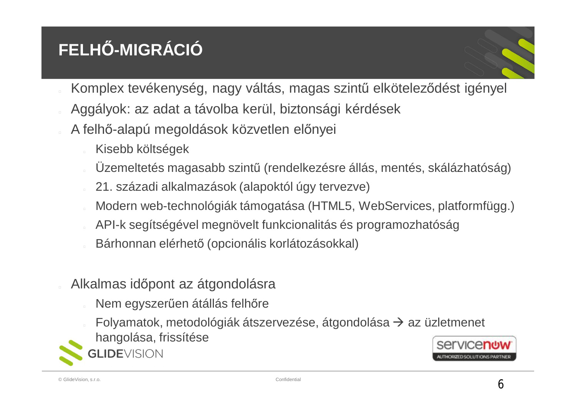## **FELHė-MIGRÁCIÓ**



- Komplex tevékenység, nagy váltás, magas szintű elköteleződést igényel
- Aggályok: az adat a távolba kerül, biztonsági kérdések
- A felhő-alapú megoldások közvetlen előnyei
	- Kisebb költségek

**LIDEVISION** 

- Üzemeltetés magasabb szintű (rendelkezésre állás, mentés, skálázhatóság)
- 21. századi alkalmazások (alapoktól úgy tervezve)
- Modern web-technológiák támogatása (HTML5, WebServices, platformfügg.)
- API-k segítségével megnövelt funkcionalitás és programozhatóság
- Bárhonnan elérhető (opcionális korlátozásokkal)
- Alkalmas időpont az átgondolásra
	- Nem egyszerűen átállás felhőre
	- Folyamatok, metodológiák átszervezése, átgondolása  $\rightarrow$  az üzletmenet hangolása, frissítése

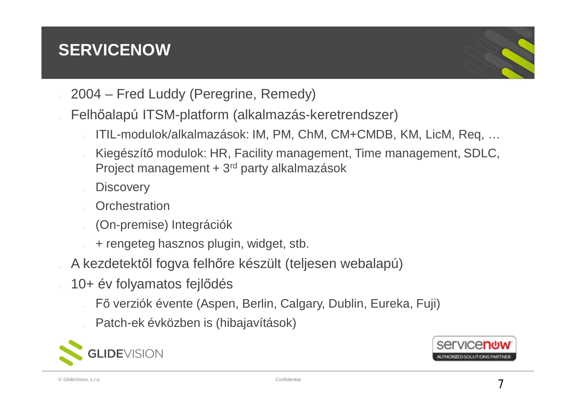## **SERVICENOW**



- 2004 Fred Luddy (Peregrine, Remedy)
- Felhőalapú ITSM-platform (alkalmazás-keretrendszer)
	- ITIL-modulok/alkalmazások: IM, PM, ChM, CM+CMDB, KM, LicM, Req, …
	- Kiegészítő modulok: HR, Facility management, Time management, SDLC, Project management + 3rd party alkalmazások
	- **Discovery**
	- **Orchestration**
	- (On-premise) Integrációk
	- + rengeteg hasznos plugin, widget, stb.
- A kezdetektől fogva felhőre készült (teljesen webalapú)
- 10+ év folyamatos fejlődés
	- Fő verziók évente (Aspen, Berlin, Calgary, Dublin, Eureka, Fuji)
	- Patch-ek évközben is (hibajavítások)



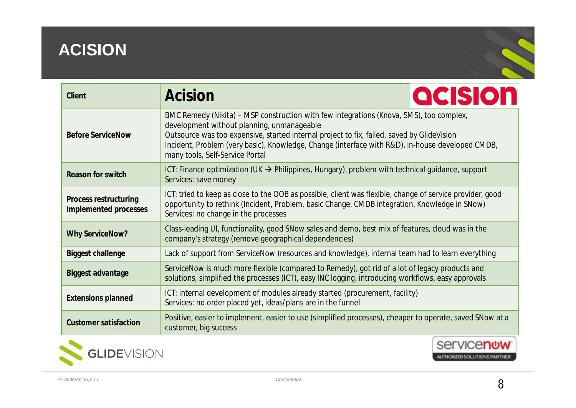## **ACISION**

| Client                                         | Acision                                                                                                                                                                                                                                                                                                                                                                    | <b>acision</b>     |
|------------------------------------------------|----------------------------------------------------------------------------------------------------------------------------------------------------------------------------------------------------------------------------------------------------------------------------------------------------------------------------------------------------------------------------|--------------------|
| <b>Before ServiceNow</b>                       | BMC Remedy (Nikita) – MSP construction with few integrations (Knova, SMS), too complex,<br>development without planning, unmanageable<br>Outsource was too expensive, started internal project to fix, failed, saved by GlideVision<br>Incident, Problem (very basic), Knowledge, Change (interface with R&D), in-house developed CMDB,<br>many tools, Self-Service Portal |                    |
| Reason for switch                              | ICT: Finance optimization (UK $\rightarrow$ Philippines, Hungary), problem with technical guidance, support<br>Services: save money                                                                                                                                                                                                                                        |                    |
| Process restructuring<br>Implemented processes | ICT: tried to keep as close to the OOB as possible, client was flexible, change of service provider, good<br>opportunity to rethink (Incident, Problem, basic Change, CMDB integration, Knowledge in SNow)<br>Services: no change in the processes                                                                                                                         |                    |
| <b>Why ServiceNow?</b>                         | Class-leading UI, functionality, good SNow sales and demo, best mix of features, cloud was in the<br>company's strategy (remove geographical dependencies)                                                                                                                                                                                                                 |                    |
| <b>Biggest challenge</b>                       | Lack of support from ServiceNow (resources and knowledge), internal team had to learn everything                                                                                                                                                                                                                                                                           |                    |
| Biggest advantage                              | ServiceNow is much more flexible (compared to Remedy), got rid of a lot of legacy products and<br>solutions, simplified the processes (ICT), easy INC logging, introducing workflows, easy approvals                                                                                                                                                                       |                    |
| <b>Extensions planned</b>                      | ICT: internal development of modules already started (procurement, facility)<br>Services: no order placed yet, ideas/plans are in the funnel                                                                                                                                                                                                                               |                    |
| Customer satisfaction                          | Positive, easier to implement, easier to use (simplified processes), cheaper to operate, saved SNow at a<br>customer, big success                                                                                                                                                                                                                                          |                    |
|                                                |                                                                                                                                                                                                                                                                                                                                                                            | Service <b>now</b> |



AUTHORIZED SOLUTIONS PARTNER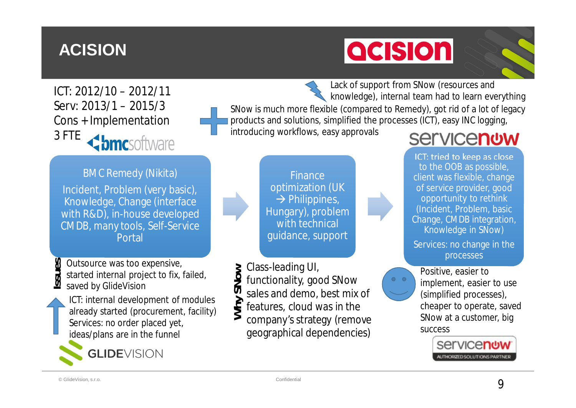## **ACISION**

# **acision**

ICT: 2012/10 – 2012/11 Serv: 2013/1 – 2015/3 Cons + Implementation 3 FTE <br /> **bmc**software

**BMC Remedy (Nikita)** 

Incident, Problem (very basic), Knowledge, Change (interface with R&D), in-house developed CMDB, many tools, Self-Service Portal

Outsource was too expensive, started internal project to fix, failed, saved by GlideVision **Issu es**

ICT: internal development of modules already started (procurement, facility) Services: no order placed yet, ideas/plans are in the funnel



Lack of support from SNow (resources and knowledge), internal team had to learn everything SNow is much more flexible (compared to Remedy), got rid of a lot of legacy products and solutions, simplified the processes (ICT), easy INC logging, introducing workflows, easy approvals

> **Finance** optimization (UK  $\rightarrow$  Philippines, Hungary), problem with technical guidance, support

Class-leading UI, **ow**

- functionality, good SNow **N**
- sales and demo, best mix of **yS**
- features, cloud was in the **h**
- company's strategy (remove geographical dependencies)  $\geqslant$

## **Servicenow**

ICT: tried to keep as close to the OOB as possible, client was flexible, change of service provider, good opportunity to rethink (Incident, Problem, basic Change, CMDB integration, Knowledge in SNow)

Services: no change in the processes



Positive, easier to implement, easier to use (simplified processes), cheaper to operate, saved SNow at a customer, big success

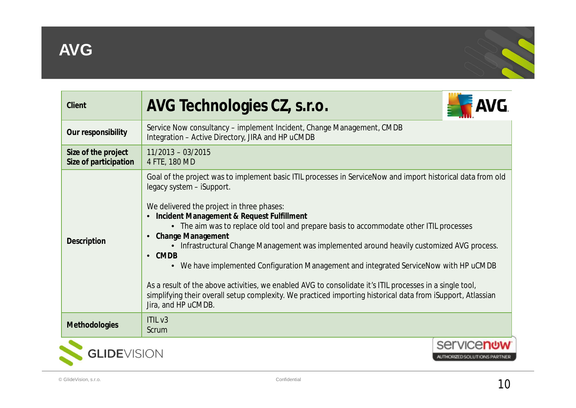

| AVG Technologies CZ, s.r.o.                                                                                                                                                                           |                                                                                                                                                                                                                                                                                                                                                                                                                                                                                                                                                                                                                                                |
|-------------------------------------------------------------------------------------------------------------------------------------------------------------------------------------------------------|------------------------------------------------------------------------------------------------------------------------------------------------------------------------------------------------------------------------------------------------------------------------------------------------------------------------------------------------------------------------------------------------------------------------------------------------------------------------------------------------------------------------------------------------------------------------------------------------------------------------------------------------|
| Service Now consultancy – implement Incident, Change Management, CMDB<br>Integration - Active Directory, JIRA and HP uCMDB                                                                            |                                                                                                                                                                                                                                                                                                                                                                                                                                                                                                                                                                                                                                                |
| $11/2013 - 03/2015$<br>4 FTE, 180 MD                                                                                                                                                                  |                                                                                                                                                                                                                                                                                                                                                                                                                                                                                                                                                                                                                                                |
| legacy system - iSupport.<br>We delivered the project in three phases:<br>Incident Management & Request Fulfillment<br><b>Change Management</b><br>$\bullet$<br>$\bullet$ CMDB<br>Jira, and HP uCMDB. |                                                                                                                                                                                                                                                                                                                                                                                                                                                                                                                                                                                                                                                |
| ITILV3<br>Scrum                                                                                                                                                                                       |                                                                                                                                                                                                                                                                                                                                                                                                                                                                                                                                                                                                                                                |
|                                                                                                                                                                                                       | AUTHORIZED SOLUTIONS PARTNER                                                                                                                                                                                                                                                                                                                                                                                                                                                                                                                                                                                                                   |
|                                                                                                                                                                                                       | Goal of the project was to implement basic ITIL processes in ServiceNow and import historical data from old<br>• The aim was to replace old tool and prepare basis to accommodate other ITIL processes<br>Infrastructural Change Management was implemented around heavily customized AVG process.<br>• We have implemented Configuration Management and integrated ServiceNow with HP uCMDB<br>As a result of the above activities, we enabled AVG to consolidate it's ITIL processes in a single tool,<br>simplifying their overall setup complexity. We practiced importing historical data from iSupport, Atlassian<br><b>GLIDE</b> VISION |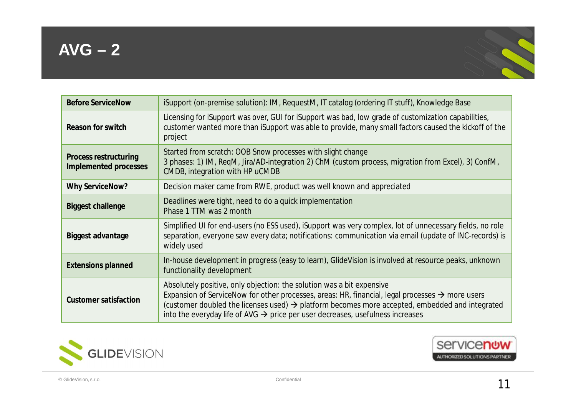

| <b>Before ServiceNow</b>                       | iSupport (on-premise solution): IM, RequestM, IT catalog (ordering IT stuff), Knowledge Base                                                                                                                                                                                                                                                                                                     |
|------------------------------------------------|--------------------------------------------------------------------------------------------------------------------------------------------------------------------------------------------------------------------------------------------------------------------------------------------------------------------------------------------------------------------------------------------------|
| Reason for switch                              | Licensing for iSupport was over, GUI for iSupport was bad, low grade of customization capabilities,<br>customer wanted more than iSupport was able to provide, many small factors caused the kickoff of the<br>project                                                                                                                                                                           |
| Process restructuring<br>Implemented processes | Started from scratch: OOB Snow processes with slight change<br>3 phases: 1) IM, ReqM, Jira/AD-integration 2) ChM (custom process, migration from Excel), 3) ConfM,<br>CMDB, integration with HP uCMDB                                                                                                                                                                                            |
| <b>Why ServiceNow?</b>                         | Decision maker came from RWE, product was well known and appreciated                                                                                                                                                                                                                                                                                                                             |
| Biggest challenge                              | Deadlines were tight, need to do a quick implementation<br>Phase 1 TTM was 2 month                                                                                                                                                                                                                                                                                                               |
| Biggest advantage                              | Simplified UI for end-users (no ESS used), iSupport was very complex, lot of unnecessary fields, no role<br>separation, everyone saw every data; notifications: communication via email (update of INC-records) is<br>widely used                                                                                                                                                                |
| <b>Extensions planned</b>                      | In-house development in progress (easy to learn), GlideVision is involved at resource peaks, unknown<br>functionality development                                                                                                                                                                                                                                                                |
| Customer satisfaction                          | Absolutely positive, only objection: the solution was a bit expensive<br>Expansion of ServiceNow for other processes, areas: HR, financial, legal processes $\rightarrow$ more users<br>(customer doubled the licenses used) $\rightarrow$ platform becomes more accepted, embedded and integrated<br>into the everyday life of AVG $\rightarrow$ price per user decreases, usefulness increases |



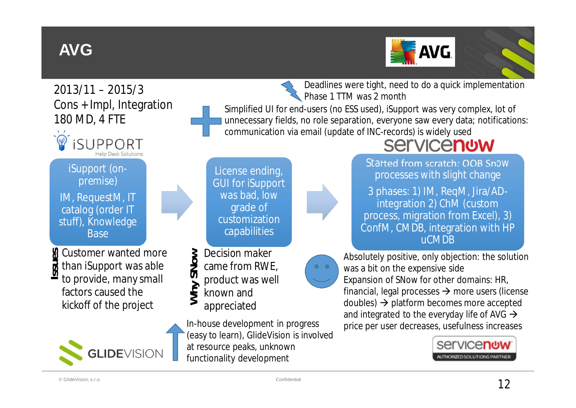## **AVG**



Deadlines were tight, need to do a quick implementation

2013/11 – 2015/3 Cons + Impl, Integration 180 MD, 4 FTE



iSupport (onpremise)

IM, RequestM, IT catalog (order IT stuff), Knowledge **Base** 

Customer wanted more than iSupport was able to provide, many small factors caused the kickoff of the project **Issu es**



Phase 1 TTM was 2 month Simplified UI for end-users (no ESS used), iSupport was very complex, lot of unnecessary fields, no role separation, everyone saw every data; notifications: communication via email (update of INC-records) is widely used



- product was well  $\blacktriangleright$  $\mathcal{S}$
- known and  $\geqslant$ **h**

**N**

appreciated

In-house development in progress (easy to learn), GlideVision is involved at resource peaks, unknown functionality development

**Servicenow** Started from scratch: OOB Snow processes with slight change

3 phases: 1) IM, ReqM, Jira/ADintegration 2) ChM (custom process, migration from Excel), 3) ConfM, CMDB, integration with HP uCMDB



Absolutely positive, only objection: the solution was a bit on the expensive side Expansion of SNow for other domains: HR, financial, legal processes  $\rightarrow$  more users (license doubles)  $\rightarrow$  platform becomes more accepted and integrated to the everyday life of AVG  $\rightarrow$ price per user decreases, usefulness increases

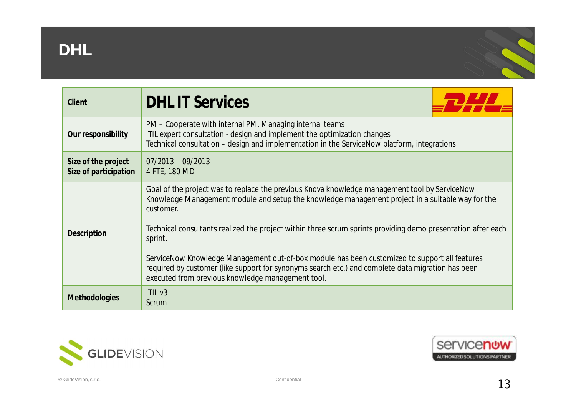





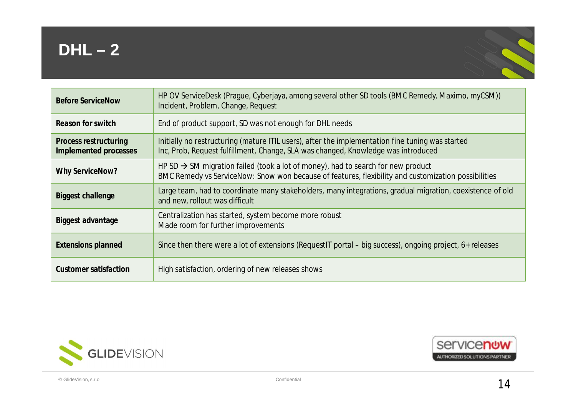## **DHL – 2**



| <b>Before ServiceNow</b>                       | HP OV ServiceDesk (Prague, Cyberjaya, among several other SD tools (BMC Remedy, Maximo, myCSM))<br>Incident, Problem, Change, Request                                                               |
|------------------------------------------------|-----------------------------------------------------------------------------------------------------------------------------------------------------------------------------------------------------|
| Reason for switch                              | End of product support, SD was not enough for DHL needs                                                                                                                                             |
| Process restructuring<br>Implemented processes | Initially no restructuring (mature ITIL users), after the implementation fine tuning was started<br>Inc, Prob, Request fulfillment, Change, SLA was changed, Knowledge was introduced               |
| Why ServiceNow?                                | HP SD $\rightarrow$ SM migration failed (took a lot of money), had to search for new product<br>BMC Remedy vs ServiceNow: Snow won because of features, flexibility and customization possibilities |
| Biggest challenge                              | Large team, had to coordinate many stakeholders, many integrations, gradual migration, coexistence of old<br>and new, rollout was difficult                                                         |
| Biggest advantage                              | Centralization has started, system become more robust<br>Made room for further improvements                                                                                                         |
| <b>Extensions planned</b>                      | Since then there were a lot of extensions (RequestIT portal – big success), ongoing project, 6+ releases                                                                                            |
| Customer satisfaction                          | High satisfaction, ordering of new releases shows                                                                                                                                                   |



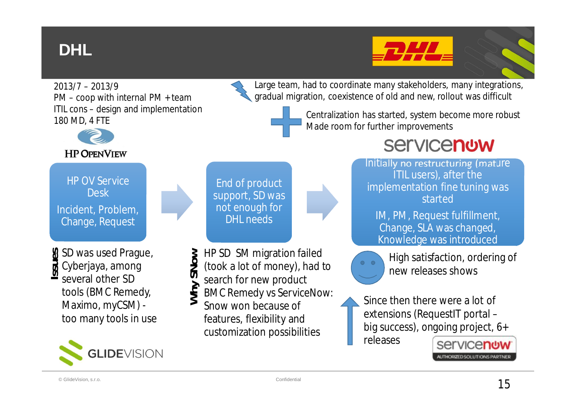## **DHL**



2013/7 – 2013/9 PM – coop with internal PM + team ITIL cons – design and implementation 180 MD, 4 FTE



HP OV Service **Desk** Incident, Problem, Change, Request

SD was used Prague, Cyberjaya, among several other SD tools (BMC Remedy, Maximo, myCSM) too many tools in use **Issu e s**



End of product support, SD was not enough for DHL needs

- HP SD SM migration failed **ow**
- (took a lot of money), had to  $\mathcal{S}$ **N**
- search for new product **h** $\blacktriangleright$
- BMC Remedy vs ServiceNow: Snow won because of features, flexibility and  $\geqslant$

customization possibilities

Large team, had to coordinate many stakeholders, many integrations, gradual migration, coexistence of old and new, rollout was difficult

> Centralization has started, system become more robust Made room for further improvements

## **Servicenow**

Initially no restructuring (mature ITIL users), after the implementation fine tuning was started

IM, PM, Request fulfillment, Change, SLA was changed, Knowledge was introduced



High satisfaction, ordering of new releases shows

Since then there were a lot of extensions (RequestIT portal – big success), ongoing project, 6+ releases

**Servicenow** AUTHORIZED SOLUTIONS PARTNER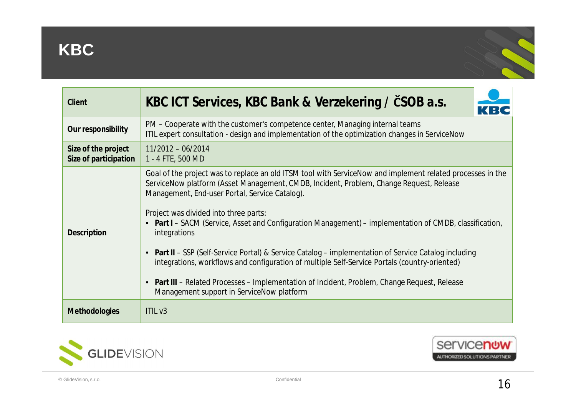

| Client                                       | KBC ICT Services, KBC Bank & Verzekering / ČSOB a.s.<br>KBG                                                                                                                                                                                                                                                                                                                                                                                                                                                                          |
|----------------------------------------------|--------------------------------------------------------------------------------------------------------------------------------------------------------------------------------------------------------------------------------------------------------------------------------------------------------------------------------------------------------------------------------------------------------------------------------------------------------------------------------------------------------------------------------------|
| Our responsibility                           | PM – Cooperate with the customer's competence center, Managing internal teams<br>ITIL expert consultation - design and implementation of the optimization changes in ServiceNow                                                                                                                                                                                                                                                                                                                                                      |
| Size of the project<br>Size of participation | $11/2012 - 06/2014$<br>1 - 4 FTE, 500 MD                                                                                                                                                                                                                                                                                                                                                                                                                                                                                             |
| Description                                  | Goal of the project was to replace an old ITSM tool with ServiceNow and implement related processes in the<br>ServiceNow platform (Asset Management, CMDB, Incident, Problem, Change Request, Release<br>Management, End-user Portal, Service Catalog).<br>Project was divided into three parts:<br>• Part I - SACM (Service, Asset and Configuration Management) - implementation of CMDB, classification,<br>integrations<br>• Part II – SSP (Self-Service Portal) & Service Catalog – implementation of Service Catalog including |
|                                              | integrations, workflows and configuration of multiple Self-Service Portals (country-oriented)<br>Part III - Related Processes - Implementation of Incident, Problem, Change Request, Release<br>$\bullet$<br>Management support in ServiceNow platform                                                                                                                                                                                                                                                                               |
| <b>Methodologies</b>                         | ITIL <sub>v3</sub>                                                                                                                                                                                                                                                                                                                                                                                                                                                                                                                   |



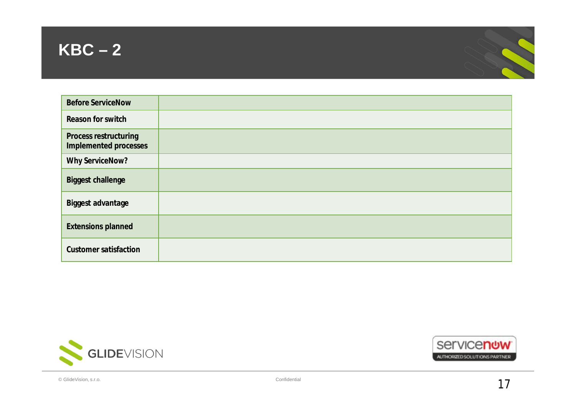



| <b>Before ServiceNow</b>                       |  |
|------------------------------------------------|--|
| Reason for switch                              |  |
| Process restructuring<br>Implemented processes |  |
| Why ServiceNow?                                |  |
| <b>Biggest challenge</b>                       |  |
| Biggest advantage                              |  |
| <b>Extensions planned</b>                      |  |
| <b>Customer satisfaction</b>                   |  |



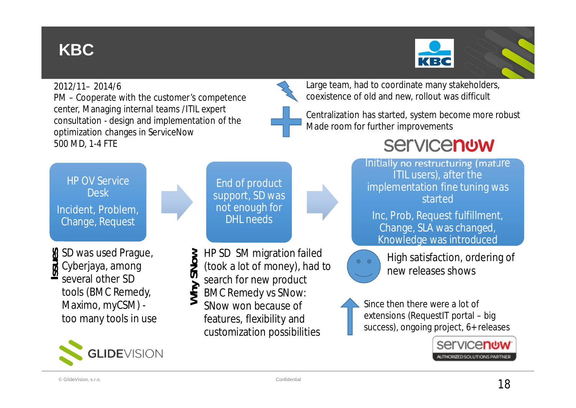## **KBC**



#### 2012/11– 2014/6

PM – Cooperate with the customer's competence center, Managing internal teams /ITIL expert consultation - design and implementation of the optimization changes in ServiceNow 500 MD, 1-4 FTE

Large team, had to coordinate many stakeholders, coexistence of old and new, rollout was difficult

Centralization has started, system become more robust Made room for further improvements

### **Servicenow**

HP OV Service **Desk** Incident, Problem, Change, Request

SD was used Prague, Cyberjaya, among **Issu** several other SD tools (BMC Remedy, Maximo, myCSM) too many tools in use **e s**



End of product support, SD was not enough for DHL needs

- HP SD SM migration failed **ow**
- (took a lot of money), had to  $\mathcal{S}$ **N**
- search for new product  $\blacktriangleright$
- BMC Remedy vs SNow:  $\geqslant$ **h**
- SNow won because of features, flexibility and customization possibilities

Initially no restructuring (mature ITIL users), after the implementation fine tuning was started

Inc, Prob, Request fulfillment, Change, SLA was changed, Knowledge was introduced

High satisfaction, ordering of new releases shows

Since then there were a lot of extensions (RequestIT portal – big success), ongoing project, 6+ releases

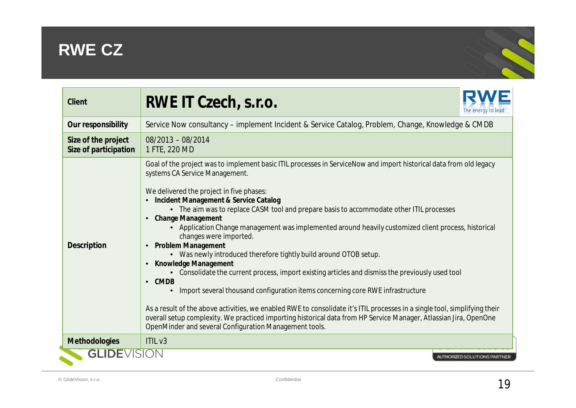## **RWE CZ**



| Client                                       | RWE IT Czech, s.r.o.<br>The energy to lead                                                                                                                                                                                                                                                                                                                                                                                                                                                                                                                                                                                                                                                                                                                                                                                                                                                                                                                                                                                                                                                                                                                   |  |
|----------------------------------------------|--------------------------------------------------------------------------------------------------------------------------------------------------------------------------------------------------------------------------------------------------------------------------------------------------------------------------------------------------------------------------------------------------------------------------------------------------------------------------------------------------------------------------------------------------------------------------------------------------------------------------------------------------------------------------------------------------------------------------------------------------------------------------------------------------------------------------------------------------------------------------------------------------------------------------------------------------------------------------------------------------------------------------------------------------------------------------------------------------------------------------------------------------------------|--|
| Our responsibility                           | Service Now consultancy – implement Incident & Service Catalog, Problem, Change, Knowledge & CMDB                                                                                                                                                                                                                                                                                                                                                                                                                                                                                                                                                                                                                                                                                                                                                                                                                                                                                                                                                                                                                                                            |  |
| Size of the project<br>Size of participation | $08/2013 - 08/2014$<br>1 FTE, 220 MD                                                                                                                                                                                                                                                                                                                                                                                                                                                                                                                                                                                                                                                                                                                                                                                                                                                                                                                                                                                                                                                                                                                         |  |
| Description                                  | Goal of the project was to implement basic ITIL processes in ServiceNow and import historical data from old legacy<br>systems CA Service Management.<br>We delivered the project in five phases:<br>Incident Management & Service Catalog<br>• The aim was to replace CASM tool and prepare basis to accommodate other ITIL processes<br><b>Change Management</b><br>• Application Change management was implemented around heavily customized client process, historical<br>changes were imported.<br><b>Problem Management</b><br>• Was newly introduced therefore tightly build around OTOB setup.<br>Knowledge Management<br>• Consolidate the current process, import existing articles and dismiss the previously used tool<br><b>CMDB</b><br>$\bullet$<br>Import several thousand configuration items concerning core RWE infrastructure<br>As a result of the above activities, we enabled RWE to consolidate it's ITIL processes in a single tool, simplifying their<br>overall setup complexity. We practiced importing historical data from HP Service Manager, Atlassian Jira, OpenOne<br>OpenMinder and several Configuration Management tools. |  |
| Methodologies                                | ITILV3                                                                                                                                                                                                                                                                                                                                                                                                                                                                                                                                                                                                                                                                                                                                                                                                                                                                                                                                                                                                                                                                                                                                                       |  |
| <b>GLIDE</b> VISION                          | AUTHORIZED SOLUTIONS PARTNER                                                                                                                                                                                                                                                                                                                                                                                                                                                                                                                                                                                                                                                                                                                                                                                                                                                                                                                                                                                                                                                                                                                                 |  |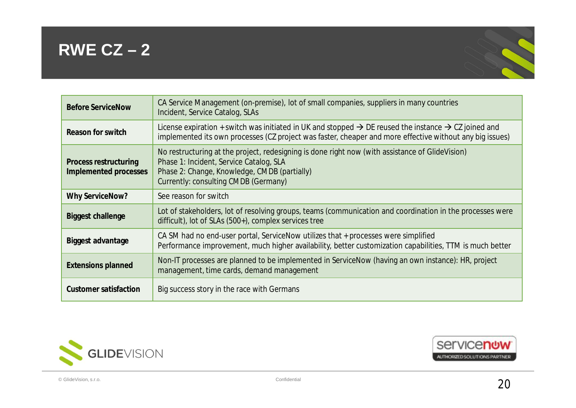#### **RWE CZ – 2**



| <b>Before ServiceNow</b>                       | CA Service Management (on-premise), lot of small companies, suppliers in many countries<br>Incident, Service Catalog, SLAs                                                                                                               |
|------------------------------------------------|------------------------------------------------------------------------------------------------------------------------------------------------------------------------------------------------------------------------------------------|
| Reason for switch                              | License expiration + switch was initiated in UK and stopped $\rightarrow$ DE reused the instance $\rightarrow$ CZ joined and<br>implemented its own processes (CZ project was faster, cheaper and more effective without any big issues) |
| Process restructuring<br>Implemented processes | No restructuring at the project, redesigning is done right now (with assistance of GlideVision)<br>Phase 1: Incident, Service Catalog, SLA<br>Phase 2: Change, Knowledge, CMDB (partially)<br>Currently: consulting CMDB (Germany)       |
| <b>Why ServiceNow?</b>                         | See reason for switch                                                                                                                                                                                                                    |
| <b>Biggest challenge</b>                       | Lot of stakeholders, lot of resolving groups, teams (communication and coordination in the processes were<br>difficult), lot of SLAs (500+), complex services tree                                                                       |
| Biggest advantage                              | CA SM had no end-user portal, ServiceNow utilizes that + processes were simplified<br>Performance improvement, much higher availability, better customization capabilities, TTM is much better                                           |
| <b>Extensions planned</b>                      | Non-IT processes are planned to be implemented in ServiceNow (having an own instance): HR, project<br>management, time cards, demand management                                                                                          |
| Customer satisfaction                          | Big success story in the race with Germans                                                                                                                                                                                               |



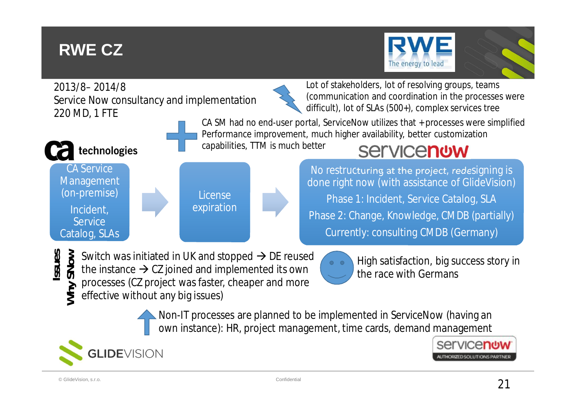## **RWE CZ**

CA Service Management (on-premise)

technologies

Incident, **Service** Catalog, SLAs







Lot of stakeholders, lot of resolving groups, teams (communication and coordination in the processes were difficult), lot of SLAs (500+), complex services tree

CA SM had no end-user portal, ServiceNow utilizes that + processes were simplified Performance improvement, much higher availability, better customization

capabilities, TTM is much better

## **Servicenow**

No restructuring at the project, redesigning is done right now (with assistance of GlideVision) Phase 1: Incident, Service Catalog, SLA Phase 2: Change, Knowledge, CMDB (partially) Currently: consulting CMDB (Germany)

Switch was initiated in UK and stopped  $\rightarrow$  DE reused **Issu esow**

License expiration

- the instance  $\rightarrow$  CZ joined and implemented its own **SN**
- processes (CZ project was faster, cheaper and more  $\rightarrow$
- effective without any big issues)  $\geqslant$ **h**



High satisfaction, big success story in the race with Germans

Non-IT processes are planned to be implemented in ServiceNow (having an own instance): HR, project management, time cards, demand management



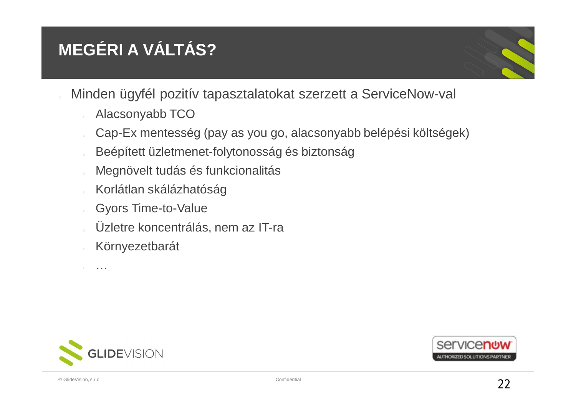## **MEGÉRI A VÁLTÁS?**

- Minden ügyfél pozitív tapasztalatokat szerzett a ServiceNow-val
	- Alacsonyabb TCO
	- Cap-Ex mentesség (pay as you go, alacsonyabb belépési költségek)
	- Beépített üzletmenet-folytonosság és biztonság
	- Megnövelt tudás és funkcionalitás
	- Korlátlan skálázhatóság
	- Gyors Time-to-Value
	- Üzletre koncentrálás, nem az IT-ra
	- Környezetbarát

…